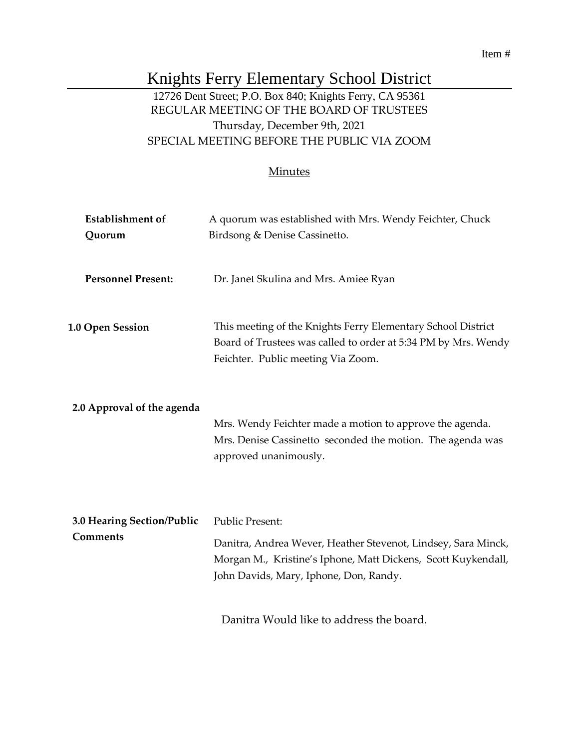# Knights Ferry Elementary School District

# 12726 Dent Street; P.O. Box 840; Knights Ferry, CA 95361 REGULAR MEETING OF THE BOARD OF TRUSTEES Thursday, December 9th, 2021 SPECIAL MEETING BEFORE THE PUBLIC VIA ZOOM

### **Minutes**

| <b>Establishment</b> of<br>Quorum      | A quorum was established with Mrs. Wendy Feichter, Chuck<br>Birdsong & Denise Cassinetto.                                                                                                          |
|----------------------------------------|----------------------------------------------------------------------------------------------------------------------------------------------------------------------------------------------------|
| <b>Personnel Present:</b>              | Dr. Janet Skulina and Mrs. Amiee Ryan                                                                                                                                                              |
| 1.0 Open Session                       | This meeting of the Knights Ferry Elementary School District<br>Board of Trustees was called to order at 5:34 PM by Mrs. Wendy<br>Feichter. Public meeting Via Zoom.                               |
| 2.0 Approval of the agenda             | Mrs. Wendy Feichter made a motion to approve the agenda.<br>Mrs. Denise Cassinetto seconded the motion. The agenda was<br>approved unanimously.                                                    |
| 3.0 Hearing Section/Public<br>Comments | <b>Public Present:</b><br>Danitra, Andrea Wever, Heather Stevenot, Lindsey, Sara Minck,<br>Morgan M., Kristine's Iphone, Matt Dickens, Scott Kuykendall,<br>John Davids, Mary, Iphone, Don, Randy. |
|                                        | Danitra Would like to address the board.                                                                                                                                                           |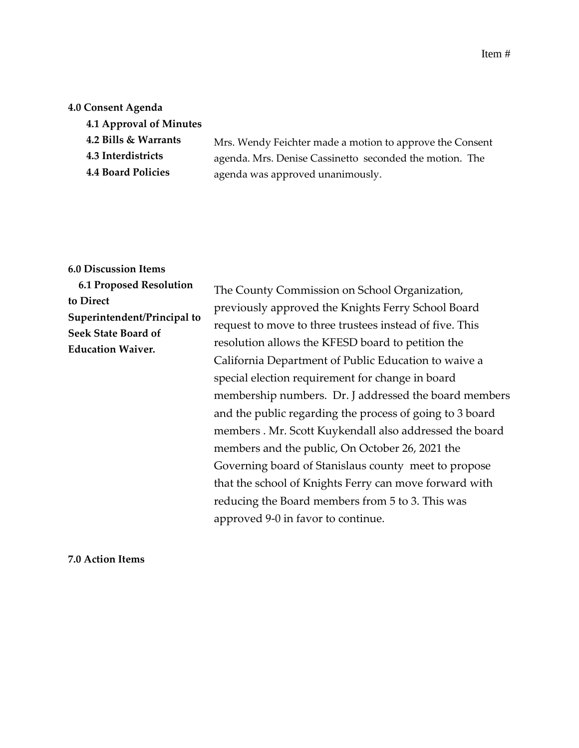## **4.0 Consent Agenda**

| 4.1 Approval of Minutes   |                                                          |
|---------------------------|----------------------------------------------------------|
| 4.2 Bills & Warrants      | Mrs. Wendy Feichter made a motion to approve the Consent |
| 4.3 Interdistricts        | agenda. Mrs. Denise Cassinetto seconded the motion. The  |
| <b>4.4 Board Policies</b> | agenda was approved unanimously.                         |
|                           |                                                          |

#### **6.0 Discussion Items**

| <b>6.1 Proposed Resolution</b>                                                        | The County Commission on School Organization,                                                                                                                                                                                                                                                                                                                                                                                                                                                                                                                                                                                                                           |
|---------------------------------------------------------------------------------------|-------------------------------------------------------------------------------------------------------------------------------------------------------------------------------------------------------------------------------------------------------------------------------------------------------------------------------------------------------------------------------------------------------------------------------------------------------------------------------------------------------------------------------------------------------------------------------------------------------------------------------------------------------------------------|
| to Direct                                                                             | previously approved the Knights Ferry School Board                                                                                                                                                                                                                                                                                                                                                                                                                                                                                                                                                                                                                      |
| Superintendent/Principal to<br><b>Seek State Board of</b><br><b>Education Waiver.</b> | request to move to three trustees instead of five. This<br>resolution allows the KFESD board to petition the<br>California Department of Public Education to waive a<br>special election requirement for change in board<br>membership numbers. Dr. J addressed the board members<br>and the public regarding the process of going to 3 board<br>members . Mr. Scott Kuykendall also addressed the board<br>members and the public, On October 26, 2021 the<br>Governing board of Stanislaus county meet to propose<br>that the school of Knights Ferry can move forward with<br>reducing the Board members from 5 to 3. This was<br>approved 9-0 in favor to continue. |

**7.0 Action Items**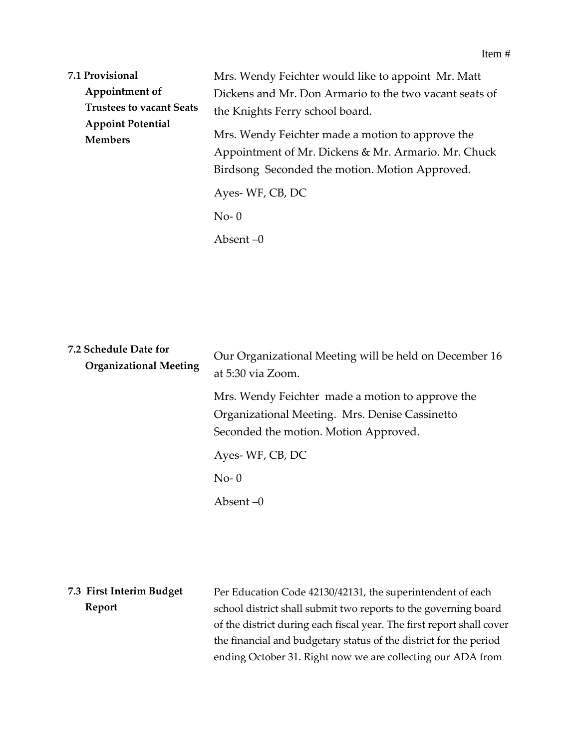| 7.1 Provisional                            | Mrs. Wendy Feichter would like to appoint Mr. Matt                                                                                                        |
|--------------------------------------------|-----------------------------------------------------------------------------------------------------------------------------------------------------------|
| Appointment of                             | Dickens and Mr. Don Armario to the two vacant seats of                                                                                                    |
| <b>Trustees to vacant Seats</b>            | the Knights Ferry school board.                                                                                                                           |
| <b>Appoint Potential</b><br><b>Members</b> | Mrs. Wendy Feichter made a motion to approve the<br>Appointment of Mr. Dickens & Mr. Armario. Mr. Chuck<br>Birdsong Seconded the motion. Motion Approved. |
|                                            | Ayes-WF, CB, DC<br>$No-0$                                                                                                                                 |
|                                            | Absent $-0$                                                                                                                                               |

| 7.2 Schedule Date for<br><b>Organizational Meeting</b> | Our Organizational Meeting will be held on December 16<br>at 5:30 via Zoom.                                                                 |
|--------------------------------------------------------|---------------------------------------------------------------------------------------------------------------------------------------------|
|                                                        | Mrs. Wendy Feichter made a motion to approve the<br>Organizational Meeting. Mrs. Denise Cassinetto<br>Seconded the motion. Motion Approved. |
|                                                        | Ayes-WF, CB, DC                                                                                                                             |
|                                                        | $No-0$                                                                                                                                      |
|                                                        | Absent $-0$                                                                                                                                 |
|                                                        |                                                                                                                                             |

**7.3 First Interim Budget Report** Per Education Code 42130/42131, the superintendent of each school district shall submit two reports to the governing board of the district during each fiscal year. The first report shall cover the financial and budgetary status of the district for the period ending October 31. Right now we are collecting our ADA from